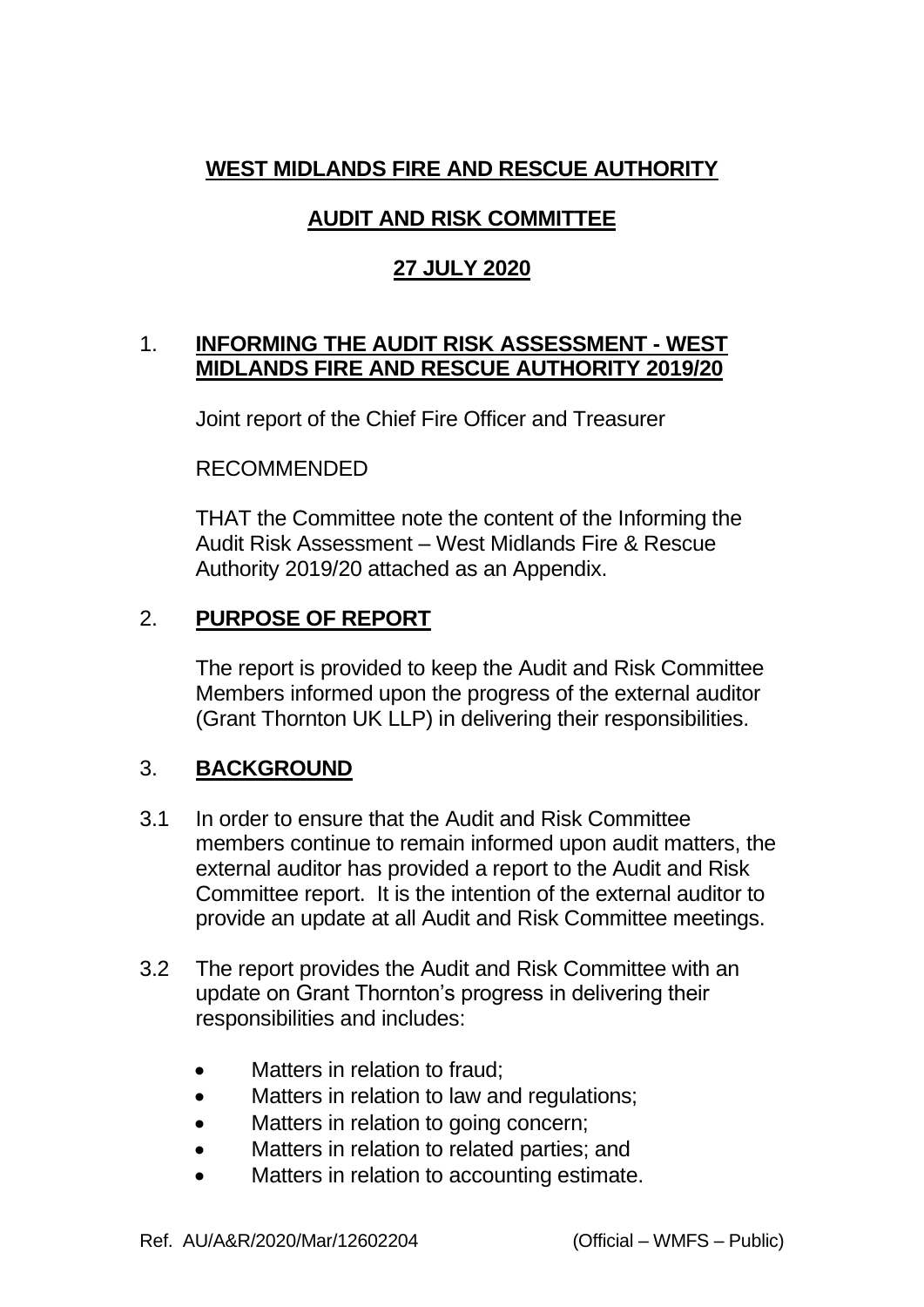### **WEST MIDLANDS FIRE AND RESCUE AUTHORITY**

# **AUDIT AND RISK COMMITTEE**

# **27 JULY 2020**

#### 1. **INFORMING THE AUDIT RISK ASSESSMENT - WEST MIDLANDS FIRE AND RESCUE AUTHORITY 2019/20**

Joint report of the Chief Fire Officer and Treasurer

RECOMMENDED

THAT the Committee note the content of the Informing the Audit Risk Assessment – West Midlands Fire & Rescue Authority 2019/20 attached as an Appendix.

## 2. **PURPOSE OF REPORT**

The report is provided to keep the Audit and Risk Committee Members informed upon the progress of the external auditor (Grant Thornton UK LLP) in delivering their responsibilities.

## 3. **BACKGROUND**

- 3.1 In order to ensure that the Audit and Risk Committee members continue to remain informed upon audit matters, the external auditor has provided a report to the Audit and Risk Committee report. It is the intention of the external auditor to provide an update at all Audit and Risk Committee meetings.
- 3.2 The report provides the Audit and Risk Committee with an update on Grant Thornton's progress in delivering their responsibilities and includes:
	- Matters in relation to fraud;
	- Matters in relation to law and regulations;
	- Matters in relation to going concern;
	- Matters in relation to related parties; and
	- Matters in relation to accounting estimate.